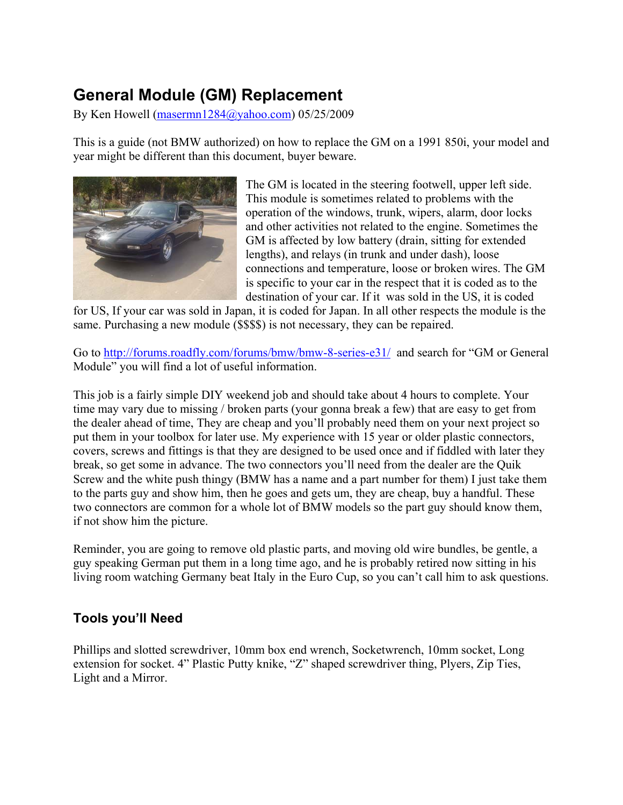# **General Module (GM) Replacement**

By Ken Howell (masermn1284@yahoo.com) 05/25/2009

This is a guide (not BMW authorized) on how to replace the GM on a 1991 850i, your model and year might be different than this document, buyer beware.



The GM is located in the steering footwell, upper left side. This module is sometimes related to problems with the operation of the windows, trunk, wipers, alarm, door locks and other activities not related to the engine. Sometimes the GM is affected by low battery (drain, sitting for extended lengths), and relays (in trunk and under dash), loose connections and temperature, loose or broken wires. The GM is specific to your car in the respect that it is coded as to the destination of your car. If it was sold in the US, it is coded

for US, If your car was sold in Japan, it is coded for Japan. In all other respects the module is the same. Purchasing a new module (\$\$\$\$) is not necessary, they can be repaired.

Go to http://forums.roadfly.com/forums/bmw/bmw-8-series-e31/ and search for "GM or General Module" you will find a lot of useful information.

This job is a fairly simple DIY weekend job and should take about 4 hours to complete. Your time may vary due to missing / broken parts (your gonna break a few) that are easy to get from the dealer ahead of time, They are cheap and you'll probably need them on your next project so put them in your toolbox for later use. My experience with 15 year or older plastic connectors, covers, screws and fittings is that they are designed to be used once and if fiddled with later they break, so get some in advance. The two connectors you'll need from the dealer are the Quik Screw and the white push thingy (BMW has a name and a part number for them) I just take them to the parts guy and show him, then he goes and gets um, they are cheap, buy a handful. These two connectors are common for a whole lot of BMW models so the part guy should know them, if not show him the picture.

Reminder, you are going to remove old plastic parts, and moving old wire bundles, be gentle, a guy speaking German put them in a long time ago, and he is probably retired now sitting in his living room watching Germany beat Italy in the Euro Cup, so you can't call him to ask questions.

## **Tools you'll Need**

Phillips and slotted screwdriver, 10mm box end wrench, Socketwrench, 10mm socket, Long extension for socket. 4" Plastic Putty knike, "Z" shaped screwdriver thing, Plyers, Zip Ties, Light and a Mirror.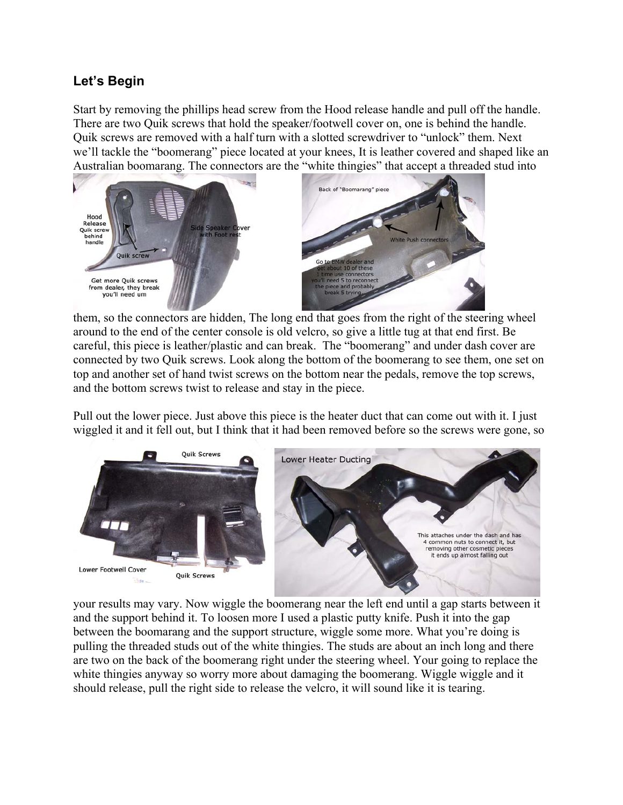## **Let's Begin**

Start by removing the phillips head screw from the Hood release handle and pull off the handle. There are two Quik screws that hold the speaker/footwell cover on, one is behind the handle. Quik screws are removed with a half turn with a slotted screwdriver to "unlock" them. Next we'll tackle the "boomerang" piece located at your knees, It is leather covered and shaped like an Australian boomarang. The connectors are the "white thingies" that accept a threaded stud into



them, so the connectors are hidden, The long end that goes from the right of the steering wheel around to the end of the center console is old velcro, so give a little tug at that end first. Be careful, this piece is leather/plastic and can break. The "boomerang" and under dash cover are connected by two Quik screws. Look along the bottom of the boomerang to see them, one set on top and another set of hand twist screws on the bottom near the pedals, remove the top screws, and the bottom screws twist to release and stay in the piece.

Pull out the lower piece. Just above this piece is the heater duct that can come out with it. I just wiggled it and it fell out, but I think that it had been removed before so the screws were gone, so



your results may vary. Now wiggle the boomerang near the left end until a gap starts between it and the support behind it. To loosen more I used a plastic putty knife. Push it into the gap between the boomarang and the support structure, wiggle some more. What you're doing is pulling the threaded studs out of the white thingies. The studs are about an inch long and there are two on the back of the boomerang right under the steering wheel. Your going to replace the white thingies anyway so worry more about damaging the boomerang. Wiggle wiggle and it should release, pull the right side to release the velcro, it will sound like it is tearing.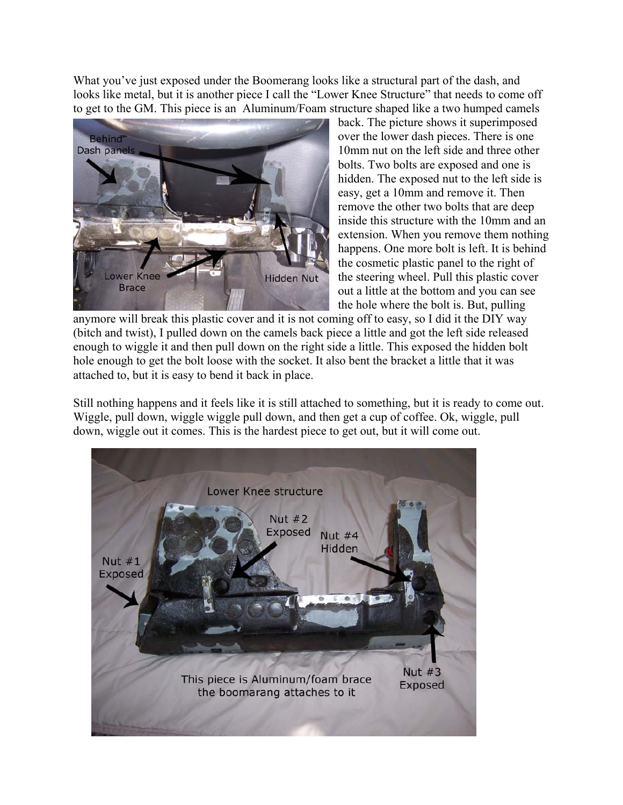What you've just exposed under the Boomerang looks like a structural part of the dash, and looks like metal, but it is another piece I call the "Lower Knee Structure" that needs to come off to get to the GM. This piece is an Aluminum/Foam structure shaped like a two humped camels



back. The picture shows it superimposed over the lower dash pieces. There is one 10mm nut on the left side and three other bolts. Two bolts are exposed and one is hidden. The exposed nut to the left side is easy, get a 10mm and remove it. Then remove the other two bolts that are deep inside this structure with the 10mm and an extension. When you remove them nothing happens. One more bolt is left. It is behind the cosmetic plastic panel to the right of the steering wheel. Pull this plastic cover out a little at the bottom and you can see the hole where the bolt is. But, pulling

anymore will break this plastic cover and it is not coming off to easy, so I did it the DIY way (bitch and twist), I pulled down on the camels back piece a little and got the left side released enough to wiggle it and then pull down on the right side a little. This exposed the hidden bolt hole enough to get the bolt loose with the socket. It also bent the bracket a little that it was attached to, but it is easy to bend it back in place.

Still nothing happens and it feels like it is still attached to something, but it is ready to come out. Wiggle, pull down, wiggle wiggle pull down, and then get a cup of coffee. Ok, wiggle, pull down, wiggle out it comes. This is the hardest piece to get out, but it will come out.

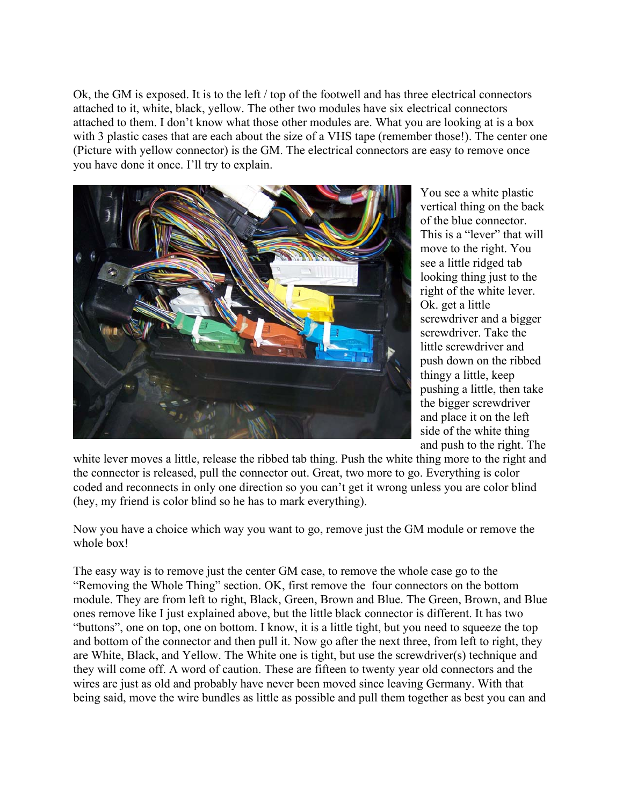Ok, the GM is exposed. It is to the left / top of the footwell and has three electrical connectors attached to it, white, black, yellow. The other two modules have six electrical connectors attached to them. I don't know what those other modules are. What you are looking at is a box with 3 plastic cases that are each about the size of a VHS tape (remember those!). The center one (Picture with yellow connector) is the GM. The electrical connectors are easy to remove once you have done it once. I'll try to explain.



You see a white plastic vertical thing on the back of the blue connector. This is a "lever" that will move to the right. You see a little ridged tab looking thing just to the right of the white lever. Ok. get a little screwdriver and a bigger screwdriver. Take the little screwdriver and push down on the ribbed thingy a little, keep pushing a little, then take the bigger screwdriver and place it on the left side of the white thing and push to the right. The

white lever moves a little, release the ribbed tab thing. Push the white thing more to the right and the connector is released, pull the connector out. Great, two more to go. Everything is color coded and reconnects in only one direction so you can't get it wrong unless you are color blind (hey, my friend is color blind so he has to mark everything).

Now you have a choice which way you want to go, remove just the GM module or remove the whole box!

The easy way is to remove just the center GM case, to remove the whole case go to the "Removing the Whole Thing" section. OK, first remove the four connectors on the bottom module. They are from left to right, Black, Green, Brown and Blue. The Green, Brown, and Blue ones remove like I just explained above, but the little black connector is different. It has two "buttons", one on top, one on bottom. I know, it is a little tight, but you need to squeeze the top and bottom of the connector and then pull it. Now go after the next three, from left to right, they are White, Black, and Yellow. The White one is tight, but use the screwdriver(s) technique and they will come off. A word of caution. These are fifteen to twenty year old connectors and the wires are just as old and probably have never been moved since leaving Germany. With that being said, move the wire bundles as little as possible and pull them together as best you can and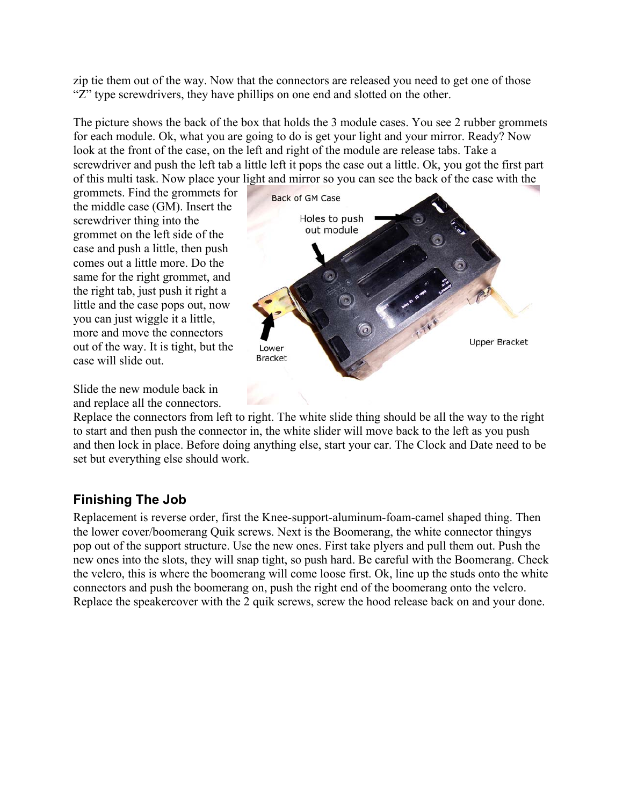zip tie them out of the way. Now that the connectors are released you need to get one of those "Z" type screwdrivers, they have phillips on one end and slotted on the other.

The picture shows the back of the box that holds the 3 module cases. You see 2 rubber grommets for each module. Ok, what you are going to do is get your light and your mirror. Ready? Now look at the front of the case, on the left and right of the module are release tabs. Take a screwdriver and push the left tab a little left it pops the case out a little. Ok, you got the first part of this multi task. Now place your light and mirror so you can see the back of the case with the

grommets. Find the grommets for the middle case (GM). Insert the screwdriver thing into the grommet on the left side of the case and push a little, then push comes out a little more. Do the same for the right grommet, and the right tab, just push it right a little and the case pops out, now you can just wiggle it a little, more and move the connectors out of the way. It is tight, but the case will slide out.

![](_page_4_Figure_3.jpeg)

Slide the new module back in and replace all the connectors.

Replace the connectors from left to right. The white slide thing should be all the way to the right to start and then push the connector in, the white slider will move back to the left as you push and then lock in place. Before doing anything else, start your car. The Clock and Date need to be set but everything else should work.

## **Finishing The Job**

Replacement is reverse order, first the Knee-support-aluminum-foam-camel shaped thing. Then the lower cover/boomerang Quik screws. Next is the Boomerang, the white connector thingys pop out of the support structure. Use the new ones. First take plyers and pull them out. Push the new ones into the slots, they will snap tight, so push hard. Be careful with the Boomerang. Check the velcro, this is where the boomerang will come loose first. Ok, line up the studs onto the white connectors and push the boomerang on, push the right end of the boomerang onto the velcro. Replace the speakercover with the 2 quik screws, screw the hood release back on and your done.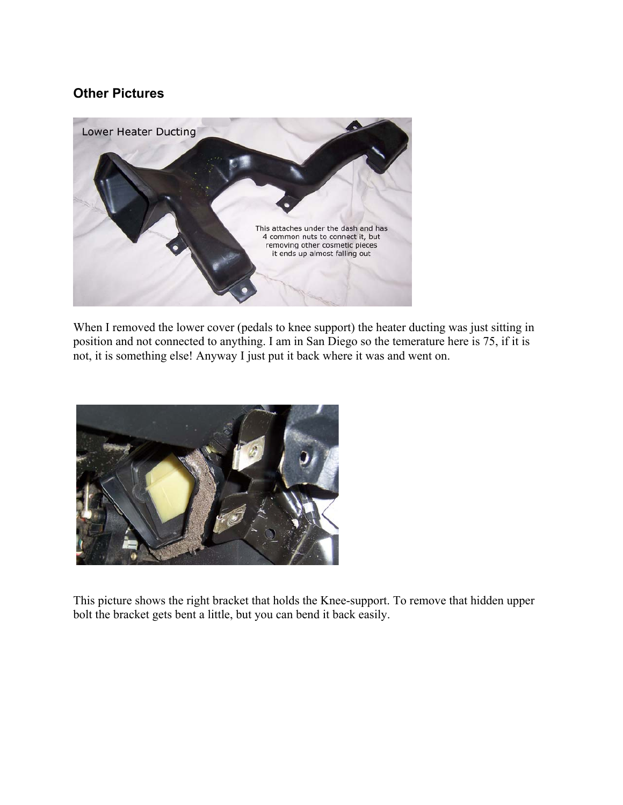#### **Other Pictures**

![](_page_5_Picture_1.jpeg)

When I removed the lower cover (pedals to knee support) the heater ducting was just sitting in position and not connected to anything. I am in San Diego so the temerature here is 75, if it is not, it is something else! Anyway I just put it back where it was and went on.

![](_page_5_Picture_3.jpeg)

This picture shows the right bracket that holds the Knee-support. To remove that hidden upper bolt the bracket gets bent a little, but you can bend it back easily.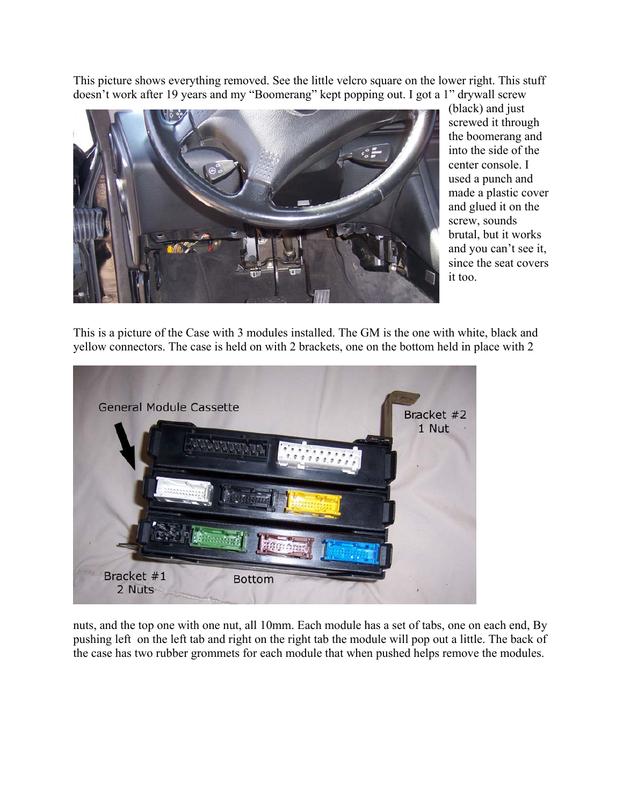This picture shows everything removed. See the little velcro square on the lower right. This stuff doesn't work after 19 years and my "Boomerang" kept popping out. I got a 1" drywall screw

![](_page_6_Picture_1.jpeg)

(black) and just screwed it through the boomerang and into the side of the center console. I used a punch and made a plastic cover and glued it on the screw, sounds brutal, but it works and you can't see it, since the seat covers it too.

This is a picture of the Case with 3 modules installed. The GM is the one with white, black and yellow connectors. The case is held on with 2 brackets, one on the bottom held in place with 2

![](_page_6_Picture_4.jpeg)

nuts, and the top one with one nut, all 10mm. Each module has a set of tabs, one on each end, By pushing left on the left tab and right on the right tab the module will pop out a little. The back of the case has two rubber grommets for each module that when pushed helps remove the modules.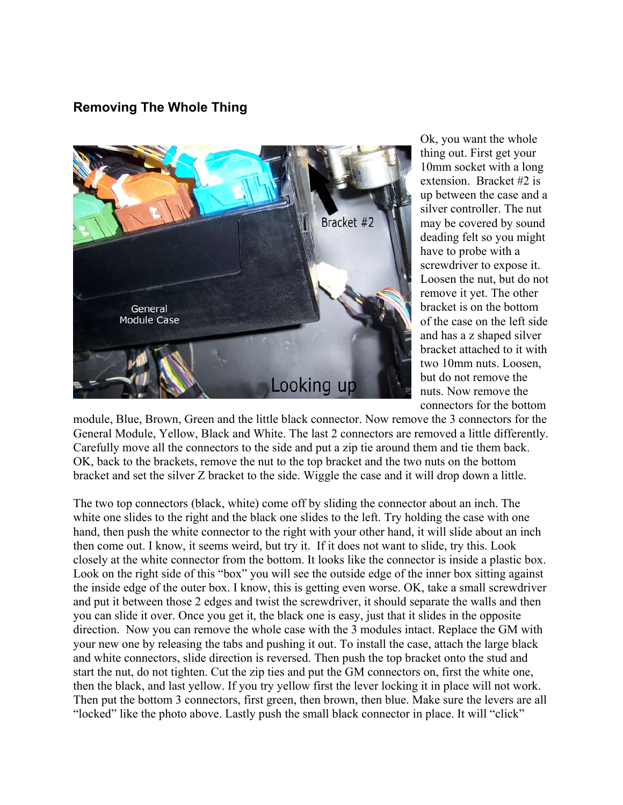### **Removing The Whole Thing**

![](_page_7_Picture_1.jpeg)

Ok, you want the whole thing out. First get your 10mm socket with a long extension. Bracket #2 is up between the case and a silver controller. The nut may be covered by sound deading felt so you might have to probe with a screwdriver to expose it. Loosen the nut, but do not remove it yet. The other bracket is on the bottom of the case on the left side and has a z shaped silver bracket attached to it with two 10mm nuts. Loosen, but do not remove the nuts. Now remove the connectors for the bottom

module, Blue, Brown, Green and the little black connector. Now remove the 3 connectors for the General Module, Yellow, Black and White. The last 2 connectors are removed a little differently. Carefully move all the connectors to the side and put a zip tie around them and tie them back. OK, back to the brackets, remove the nut to the top bracket and the two nuts on the bottom bracket and set the silver Z bracket to the side. Wiggle the case and it will drop down a little.

The two top connectors (black, white) come off by sliding the connector about an inch. The white one slides to the right and the black one slides to the left. Try holding the case with one hand, then push the white connector to the right with your other hand, it will slide about an inch then come out. I know, it seems weird, but try it. If it does not want to slide, try this. Look closely at the white connector from the bottom. It looks like the connector is inside a plastic box. Look on the right side of this "box" you will see the outside edge of the inner box sitting against the inside edge of the outer box. I know, this is getting even worse. OK, take a small screwdriver and put it between those 2 edges and twist the screwdriver, it should separate the walls and then you can slide it over. Once you get it, the black one is easy, just that it slides in the opposite direction. Now you can remove the whole case with the 3 modules intact. Replace the GM with your new one by releasing the tabs and pushing it out. To install the case, attach the large black and white connectors, slide direction is reversed. Then push the top bracket onto the stud and start the nut, do not tighten. Cut the zip ties and put the GM connectors on, first the white one, then the black, and last yellow. If you try yellow first the lever locking it in place will not work. Then put the bottom 3 connectors, first green, then brown, then blue. Make sure the levers are all "locked" like the photo above. Lastly push the small black connector in place. It will "click"